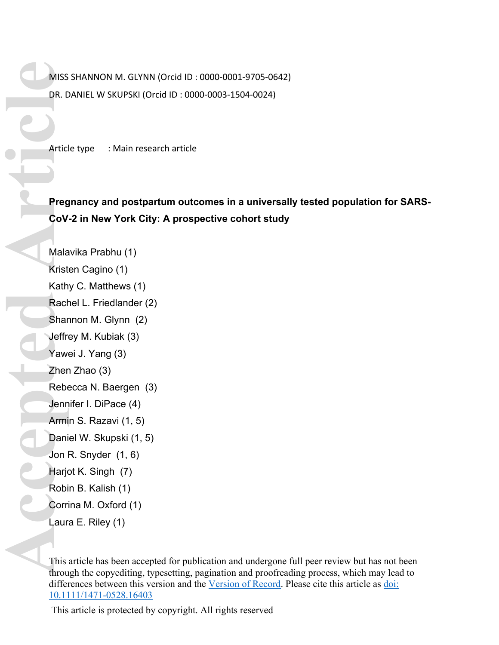MISS SHANNON M. GLYNN (Orcid ID : 0000-0001-9705-0642) DR. DANIEL W SKUPSKI (Orcid ID : 0000-0003-1504-0024)

Article type : Main research article

**Pregnancy and postpartum outcomes in a universally tested population for SARS-CoV-2 in New York City: A prospective cohort study** 

Malavika Prabhu (1) Kristen Cagino (1) Kathy C. Matthews (1) Rachel L. Friedlander (2) Shannon M. Glynn (2) Jeffrey M. Kubiak (3) Yawei J. Yang (3) Zhen Zhao (3) Rebecca N. Baergen (3) Jennifer I. DiPace (4) Armin S. Razavi (1, 5) Daniel W. Skupski (1, 5) Jon R. Snyder (1, 6) Harjot K. Singh (7) Robin B. Kalish (1) Corrina M. Oxford (1) Laura E. Riley (1) MISS<br>
DR. D<br>
Articl<br>
Articl<br>
Articl<br>
Articl<br>
Rebe<br>
Shar<br>
Jeffre<br>
Yaw<br>
Zher<br>
Rebe<br>
Jenn<br>
Armi<br>
Dani<br>
Jon I<br>
Harjc<br>
Rebe<br>
Jenn<br>
Armi<br>
Dani<br>
Jon I<br>
Harjc<br>
Covi<br>
The Here<br>
Dani<br>
Jon I<br>
Harjc<br>
Covi<br>
The Here<br>
Dani<br>
Jon I<br>
Harjc

This article has been accepted for publication and undergone full peer review but has not been through the copyediting, typesetting, pagination and proofreading process, which may lead to differences between this version and the [Version of Record.](https://doi.org/10.1111/1471-0528.16403) Please cite this article as [doi:](https://doi.org/10.1111/1471-0528.16403)  [10.1111/1471-0528.16403](https://doi.org/10.1111/1471-0528.16403)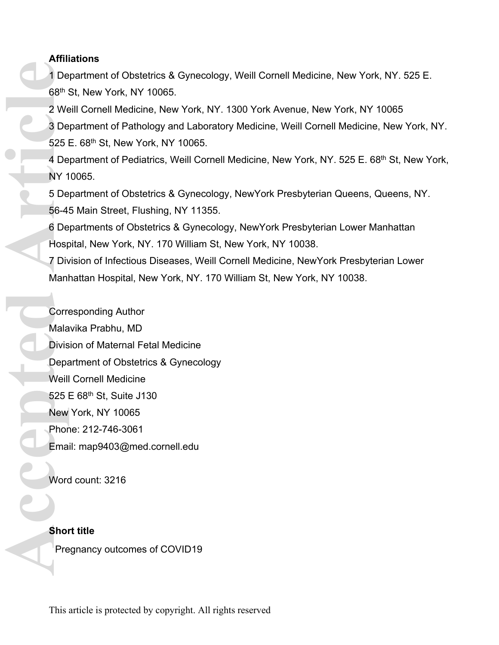## **Affiliations**

1 Department of Obstetrics & Gynecology, Weill Cornell Medicine, New York, NY. 525 E. 68th St, New York, NY 10065.

2 Weill Cornell Medicine, New York, NY. 1300 York Avenue, New York, NY 10065 3 Department of Pathology and Laboratory Medicine, Weill Cornell Medicine, New York, NY. 525 E. 68th St, New York, NY 10065.

4 Department of Pediatrics, Weill Cornell Medicine, New York, NY. 525 E. 68<sup>th</sup> St, New York, NY 10065.

5 Department of Obstetrics & Gynecology, NewYork Presbyterian Queens, Queens, NY. 56-45 Main Street, Flushing, NY 11355.

6 Departments of Obstetrics & Gynecology, NewYork Presbyterian Lower Manhattan Hospital, New York, NY. 170 William St, New York, NY 10038.

7 Division of Infectious Diseases, Weill Cornell Medicine, NewYork Presbyterian Lower Manhattan Hospital, New York, NY. 170 William St, New York, NY 10038.

Corresponding Author Malavika Prabhu, MD Division of Maternal Fetal Medicine Department of Obstetrics & Gynecology Weill Cornell Medicine 525 E 68th St, Suite J130 New York, NY 10065 Phone: 212-746-3061 Email: [map9403@med.cornell.edu](mailto:map9403@med.cornell.edu) 1 De 68<sup>th</sup> :<br>
2 We 3 De 525 I<br>
4 De 525 I<br>
4 De NY 1 5 De 56-4:<br>
6 De Host 7 Div Manl<br>
7 Div Manl<br>
2 We Pior Mala<br>
Divis Depart Weill<br>
525 I<br>
New Phor Ema<br>
Word Ema<br>
Word Pre

Word count: 3216

## **Short title**

Pregnancy outcomes of COVID19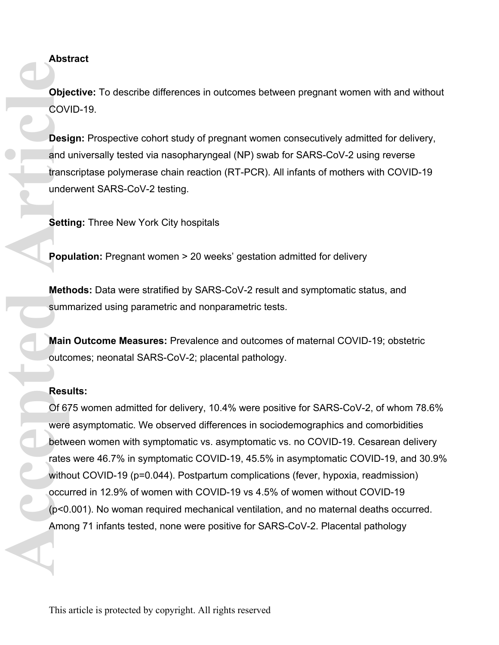**Abstract** 

**Objective:** To describe differences in outcomes between pregnant women with and without COVID-19.

**Design:** Prospective cohort study of pregnant women consecutively admitted for delivery, and universally tested via nasopharyngeal (NP) swab for SARS-CoV-2 using reverse transcriptase polymerase chain reaction (RT-PCR). All infants of mothers with COVID-19 underwent SARS-CoV-2 testing.

**Setting: Three New York City hospitals** 

**Population:** Pregnant women > 20 weeks' gestation admitted for delivery

**Methods:** Data were stratified by SARS-CoV-2 result and symptomatic status, and summarized using parametric and nonparametric tests.

**Main Outcome Measures:** Prevalence and outcomes of maternal COVID-19; obstetric outcomes; neonatal SARS-CoV-2; placental pathology.

#### **Results:**

Of 675 women admitted for delivery, 10.4% were positive for SARS-CoV-2, of whom 78.6% were asymptomatic. We observed differences in sociodemographics and comorbidities between women with symptomatic vs. asymptomatic vs. no COVID-19. Cesarean delivery rates were 46.7% in symptomatic COVID-19, 45.5% in asymptomatic COVID-19, and 30.9% without COVID-19 (p=0.044). Postpartum complications (fever, hypoxia, readmission) occurred in 12.9% of women with COVID-19 vs 4.5% of women without COVID-19 (p<0.001). No woman required mechanical ventilation, and no maternal deaths occurred. Among 71 infants tested, none were positive for SARS-CoV-2. Placental pathology **Cook**<br> **Accepted** Article<br> **Accepted Article**<br> **Accepted Article**<br> **Article**<br> **Article**<br> **Article**<br> **Article**<br> **Article**<br> **Article**<br> **Article**<br> **Article**<br> **Article**<br> **Article**<br> **Article**<br> **Article**<br> **Article**<br> **Article**<br>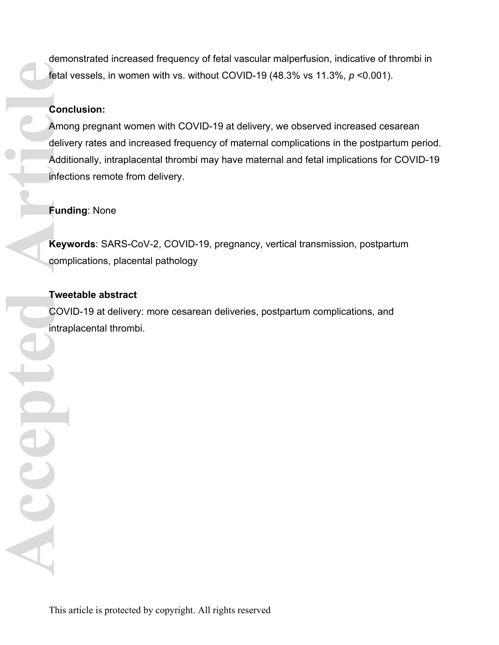demonstrated increased frequency of fetal vascular malperfusion, indicative of thrombi in fetal vessels, in women with vs. without COVID-19 (48.3% vs 11.3%, *p* <0.001).

## **Conclusion:**

Among pregnant women with COVID-19 at delivery, we observed increased cesarean delivery rates and increased frequency of maternal complications in the postpartum period. Additionally, intraplacental thrombi may have maternal and fetal implications for COVID-19 infections remote from delivery. **Condelivery Condelivers**<br>
Addit infect<br> **Addit infect**<br> **Addit infect**<br> **Addit infect**<br> **Addit infect**<br> **Addit infect**<br> **Addit infect**<br> **Addit infect**<br> **Addit infect** 

## **Funding**: None

**Keywords**: SARS-CoV-2, COVID-19, pregnancy, vertical transmission, postpartum complications, placental pathology

## **Tweetable abstract**

OCCCO.

COVID-19 at delivery: more cesarean deliveries, postpartum complications, and intraplacental thrombi.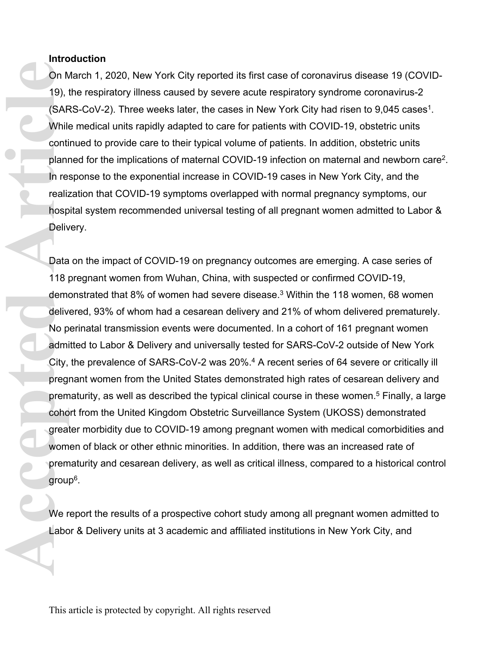#### **Introduction**

On March 1, 2020, New York City reported its first case of coronavirus disease 19 (COVID-19), the respiratory illness caused by severe acute respiratory syndrome coronavirus-2 (SARS-CoV-2). Three weeks later, the cases in New York City had risen to 9,045 cases<sup>1</sup>. While medical units rapidly adapted to care for patients with COVID-19, obstetric units continued to provide care to their typical volume of patients. In addition, obstetric units planned for the implications of maternal COVID-19 infection on maternal and newborn care<sup>2</sup> . In response to the exponential increase in COVID-19 cases in New York City, and the realization that COVID-19 symptoms overlapped with normal pregnancy symptoms, our hospital system recommended universal testing of all pregnant women admitted to Labor & Delivery.

Data on the impact of COVID-19 on pregnancy outcomes are emerging. A case series of 118 pregnant women from Wuhan, China, with suspected or confirmed COVID-19, demonstrated that 8% of women had severe disease.<sup>3</sup> Within the 118 women, 68 women delivered, 93% of whom had a cesarean delivery and 21% of whom delivered prematurely. No perinatal transmission events were documented. In a cohort of 161 pregnant women admitted to Labor & Delivery and universally tested for SARS-CoV-2 outside of New York City, the prevalence of SARS-CoV-2 was 20%.<sup>4</sup> A recent series of 64 severe or critically ill pregnant women from the United States demonstrated high rates of cesarean delivery and prematurity, as well as described the typical clinical course in these women.<sup>5</sup> Finally, a large cohort from the United Kingdom Obstetric Surveillance System (UKOSS) demonstrated greater morbidity due to COVID-19 among pregnant women with medical comorbidities and women of black or other ethnic minorities. In addition, there was an increased rate of prematurity and cesarean delivery, as well as critical illness, compared to a historical control group<sup>6</sup> . On M<br>
19), i<br>
(SAF<br>
While conti<br>
conti<br>
plann<br>
In recealiz<br>
hosp<br>
Deliv<br>
Data<br>
118 I<br>
dem deliv<br>
No p<br>
admi<br>
City, preg<br>
prem<br>
onto<br>
great<br>
wom<br>
great<br>
wom<br>
great<br>
wom<br>
great<br>
wom<br>
great<br>
wom<br>
great<br>
wom<br>
great<br>
wom<br>
great

We report the results of a prospective cohort study among all pregnant women admitted to Labor & Delivery units at 3 academic and affiliated institutions in New York City, and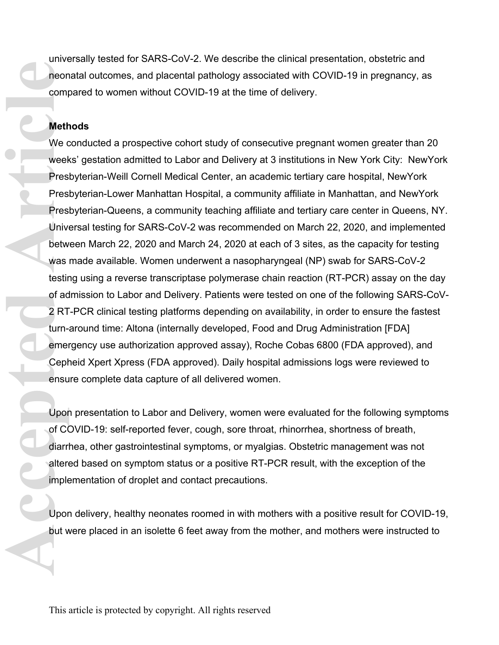universally tested for SARS-CoV-2. We describe the clinical presentation, obstetric and neonatal outcomes, and placental pathology associated with COVID-19 in pregnancy, as compared to women without COVID-19 at the time of delivery.

## **Methods**

We conducted a prospective cohort study of consecutive pregnant women greater than 20 weeks' gestation admitted to Labor and Delivery at 3 institutions in New York City: NewYork Presbyterian-Weill Cornell Medical Center, an academic tertiary care hospital, NewYork Presbyterian-Lower Manhattan Hospital, a community affiliate in Manhattan, and NewYork Presbyterian-Queens, a community teaching affiliate and tertiary care center in Queens, NY. Universal testing for SARS-CoV-2 was recommended on March 22, 2020, and implemented between March 22, 2020 and March 24, 2020 at each of 3 sites, as the capacity for testing was made available. Women underwent a nasopharyngeal (NP) swab for SARS-CoV-2 testing using a reverse transcriptase polymerase chain reaction (RT-PCR) assay on the day of admission to Labor and Delivery. Patients were tested on one of the following SARS-CoV-2 RT-PCR clinical testing platforms depending on availability, in order to ensure the fastest turn-around time: Altona (internally developed, Food and Drug Administration [FDA] emergency use authorization approved assay), Roche Cobas 6800 (FDA approved), and Cepheid Xpert Xpress (FDA approved). Daily hospital admissions logs were reviewed to ensure complete data capture of all delivered women. **Accession Article**<br> **Accession Article**<br> **Accessibility**<br> **Accessibility**<br> **Accessibility**<br> **Accessibility**<br> **Accessibility**<br> **Accessibility**<br> **Accessibility**<br> **Accessibility**<br> **Accessibility**<br> **Accessibility**<br> **Accessibi** 

Upon presentation to Labor and Delivery, women were evaluated for the following symptoms of COVID-19: self-reported fever, cough, sore throat, rhinorrhea, shortness of breath, diarrhea, other gastrointestinal symptoms, or myalgias. Obstetric management was not altered based on symptom status or a positive RT-PCR result, with the exception of the implementation of droplet and contact precautions.

Upon delivery, healthy neonates roomed in with mothers with a positive result for COVID-19, but were placed in an isolette 6 feet away from the mother, and mothers were instructed to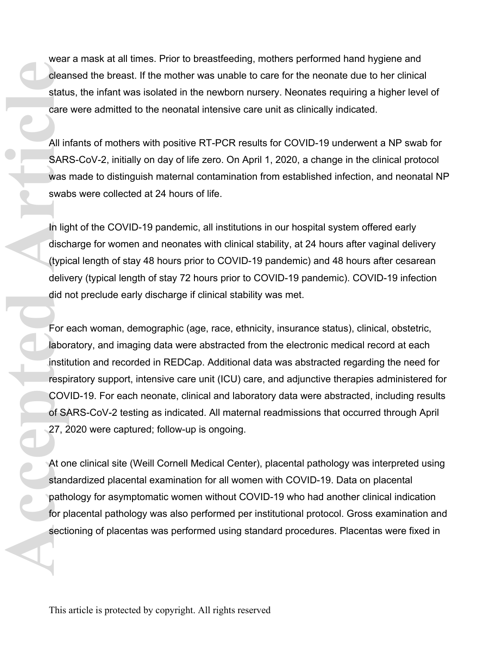wear a mask at all times. Prior to breastfeeding, mothers performed hand hygiene and cleansed the breast. If the mother was unable to care for the neonate due to her clinical status, the infant was isolated in the newborn nursery. Neonates requiring a higher level of care were admitted to the neonatal intensive care unit as clinically indicated.

All infants of mothers with positive RT-PCR results for COVID-19 underwent a NP swab for SARS-CoV-2, initially on day of life zero. On April 1, 2020, a change in the clinical protocol was made to distinguish maternal contamination from established infection, and neonatal NP swabs were collected at 24 hours of life.

In light of the COVID-19 pandemic, all institutions in our hospital system offered early discharge for women and neonates with clinical stability, at 24 hours after vaginal delivery (typical length of stay 48 hours prior to COVID-19 pandemic) and 48 hours after cesarean delivery (typical length of stay 72 hours prior to COVID-19 pandemic). COVID-19 infection did not preclude early discharge if clinical stability was met.

For each woman, demographic (age, race, ethnicity, insurance status), clinical, obstetric, laboratory, and imaging data were abstracted from the electronic medical record at each institution and recorded in REDCap. Additional data was abstracted regarding the need for respiratory support, intensive care unit (ICU) care, and adjunctive therapies administered for COVID-19. For each neonate, clinical and laboratory data were abstracted, including results of SARS-CoV-2 testing as indicated. All maternal readmissions that occurred through April 27, 2020 were captured; follow-up is ongoing. **Clear**<br>
statu care<br> **All in SAR**<br>
swat<br>
swat<br>
In lig discription<br>
(typic deliv deliv deliv deliv deliv deliv deliv deliv deliv deliv deliv deliv deliv deliv deliv deliv deliv deliv deliv deliv deliv deliv deliv deliv deli

At one clinical site (Weill Cornell Medical Center), placental pathology was interpreted using standardized placental examination for all women with COVID-19. Data on placental pathology for asymptomatic women without COVID-19 who had another clinical indication for placental pathology was also performed per institutional protocol. Gross examination and sectioning of placentas was performed using standard procedures. Placentas were fixed in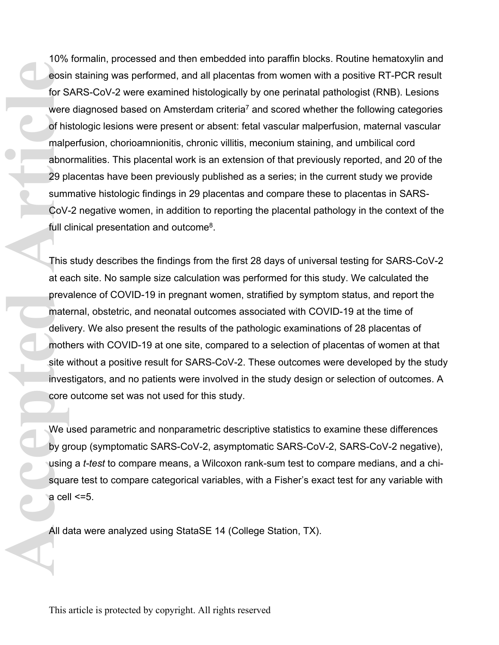10% formalin, processed and then embedded into paraffin blocks. Routine hematoxylin and eosin staining was performed, and all placentas from women with a positive RT-PCR result for SARS-CoV-2 were examined histologically by one perinatal pathologist (RNB). Lesions were diagnosed based on Amsterdam criteria<sup>7</sup> and scored whether the following categories of histologic lesions were present or absent: fetal vascular malperfusion, maternal vascular malperfusion, chorioamnionitis, chronic villitis, meconium staining, and umbilical cord abnormalities. This placental work is an extension of that previously reported, and 20 of the 29 placentas have been previously published as a series; in the current study we provide summative histologic findings in 29 placentas and compare these to placentas in SARS-CoV-2 negative women, in addition to reporting the placental pathology in the context of the full clinical presentation and outcome<sup>8</sup>. **Article**<br> **Article**<br> **Article**<br> **Article**<br> **Article**<br> **Article**<br> **Article**<br> **Article**<br> **Article**<br> **Article**<br> **Article**<br> **Article**<br> **Article**<br> **Article**<br> **Article**<br> **Article**<br> **Article**<br> **Article**<br> **Article**<br> **Article**<br> **A** 

This study describes the findings from the first 28 days of universal testing for SARS-CoV-2 at each site. No sample size calculation was performed for this study. We calculated the prevalence of COVID-19 in pregnant women, stratified by symptom status, and report the maternal, obstetric, and neonatal outcomes associated with COVID-19 at the time of delivery. We also present the results of the pathologic examinations of 28 placentas of mothers with COVID-19 at one site, compared to a selection of placentas of women at that site without a positive result for SARS-CoV-2. These outcomes were developed by the study investigators, and no patients were involved in the study design or selection of outcomes. A core outcome set was not used for this study.

We used parametric and nonparametric descriptive statistics to examine these differences by group (symptomatic SARS-CoV-2, asymptomatic SARS-CoV-2, SARS-CoV-2 negative), using a *t-test* to compare means, a Wilcoxon rank-sum test to compare medians, and a chisquare test to compare categorical variables, with a Fisher's exact test for any variable with a cell  $\leq$ =5.

All data were analyzed using StataSE 14 (College Station, TX).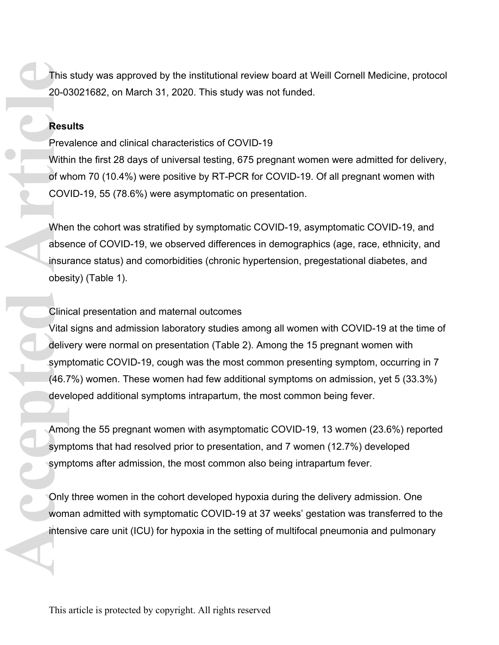This study was approved by the institutional review board at Weill Cornell Medicine, protocol 20-03021682, on March 31, 2020. This study was not funded.

## **Results**

Prevalence and clinical characteristics of COVID-19

Within the first 28 days of universal testing, 675 pregnant women were admitted for delivery, of whom 70 (10.4%) were positive by RT-PCR for COVID-19. Of all pregnant women with COVID-19, 55 (78.6%) were asymptomatic on presentation.

When the cohort was stratified by symptomatic COVID-19, asymptomatic COVID-19, and absence of COVID-19, we observed differences in demographics (age, race, ethnicity, and insurance status) and comorbidities (chronic hypertension, pregestational diabetes, and obesity) (Table 1).

#### Clinical presentation and maternal outcomes

Vital signs and admission laboratory studies among all women with COVID-19 at the time of delivery were normal on presentation (Table 2). Among the 15 pregnant women with symptomatic COVID-19, cough was the most common presenting symptom, occurring in 7 (46.7%) women. These women had few additional symptoms on admission, yet 5 (33.3%) developed additional symptoms intrapartum, the most common being fever. This 20-0:<br> **Accepted Article**<br>
Prev Withi<br>
of whe abse<br>
insur obes<br>
Linite<br>
Olinite<br>
Unite<br>
Amo<br>
symptom<br>
Symptom<br>
Symptom<br>
Symptom<br>
Symptom<br>
Symptom<br>
Symptom<br>
Symptom<br>
Symptom<br>
Symptom<br>
Symptom<br>
Symptom<br>
Symptom<br>
Symptom

Among the 55 pregnant women with asymptomatic COVID-19, 13 women (23.6%) reported symptoms that had resolved prior to presentation, and 7 women (12.7%) developed symptoms after admission, the most common also being intrapartum fever.

Only three women in the cohort developed hypoxia during the delivery admission. One woman admitted with symptomatic COVID-19 at 37 weeks' gestation was transferred to the intensive care unit (ICU) for hypoxia in the setting of multifocal pneumonia and pulmonary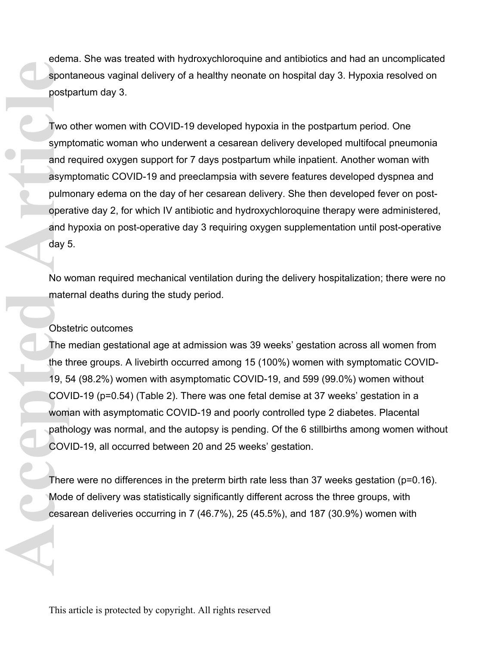edema. She was treated with hydroxychloroquine and antibiotics and had an uncomplicated spontaneous vaginal delivery of a healthy neonate on hospital day 3. Hypoxia resolved on postpartum day 3.

Two other women with COVID-19 developed hypoxia in the postpartum period. One symptomatic woman who underwent a cesarean delivery developed multifocal pneumonia and required oxygen support for 7 days postpartum while inpatient. Another woman with asymptomatic COVID-19 and preeclampsia with severe features developed dyspnea and pulmonary edema on the day of her cesarean delivery. She then developed fever on postoperative day 2, for which IV antibiotic and hydroxychloroquine therapy were administered, and hypoxia on post-operative day 3 requiring oxygen supplementation until post-operative day 5. **Access True Contract Contract Contract Contract Contract Contract Contract Contract Contract Contract Contract Contract Contract Contract Contract Contract Contract Contract Contract Contract Contract Contract Contract Co** 

No woman required mechanical ventilation during the delivery hospitalization; there were no maternal deaths during the study period.

#### Obstetric outcomes

The median gestational age at admission was 39 weeks' gestation across all women from the three groups. A livebirth occurred among 15 (100%) women with symptomatic COVID-19, 54 (98.2%) women with asymptomatic COVID-19, and 599 (99.0%) women without COVID-19 (p=0.54) (Table 2). There was one fetal demise at 37 weeks' gestation in a woman with asymptomatic COVID-19 and poorly controlled type 2 diabetes. Placental pathology was normal, and the autopsy is pending. Of the 6 stillbirths among women without COVID-19, all occurred between 20 and 25 weeks' gestation.

There were no differences in the preterm birth rate less than 37 weeks gestation (p=0.16). Mode of delivery was statistically significantly different across the three groups, with cesarean deliveries occurring in 7 (46.7%), 25 (45.5%), and 187 (30.9%) women with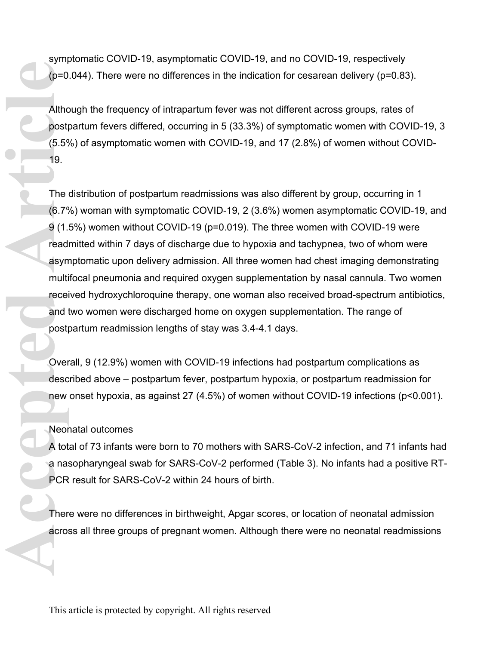symptomatic COVID-19, asymptomatic COVID-19, and no COVID-19, respectively (p=0.044). There were no differences in the indication for cesarean delivery (p=0.83).

Although the frequency of intrapartum fever was not different across groups, rates of postpartum fevers differed, occurring in 5 (33.3%) of symptomatic women with COVID-19, 3 (5.5%) of asymptomatic women with COVID-19, and 17 (2.8%) of women without COVID-19.

The distribution of postpartum readmissions was also different by group, occurring in 1 (6.7%) woman with symptomatic COVID-19, 2 (3.6%) women asymptomatic COVID-19, and 9 (1.5%) women without COVID-19 (p=0.019). The three women with COVID-19 were readmitted within 7 days of discharge due to hypoxia and tachypnea, two of whom were asymptomatic upon delivery admission. All three women had chest imaging demonstrating multifocal pneumonia and required oxygen supplementation by nasal cannula. Two women received hydroxychloroquine therapy, one woman also received broad-spectrum antibiotics, and two women were discharged home on oxygen supplementation. The range of postpartum readmission lengths of stay was 3.4-4.1 days. (p=0<br>
Althc<br>
post<br>
(5.5°)<br>
19.<br>
The (6.7°)<br>
9 (1.<br>
read asym multi recei<br>
and 1<br>
post<br>
Over<br>
desc<br>
new<br>
Neor<br>
A tot<br>
of Lead in the Sec<br>
new<br>
Neor<br>
A tot<br>
of Lead in the Sec<br>
new<br>
Neor<br>
A tot<br>
of Lead in the Sec<br>
new<br>
A to

Overall, 9 (12.9%) women with COVID-19 infections had postpartum complications as described above – postpartum fever, postpartum hypoxia, or postpartum readmission for new onset hypoxia, as against 27 (4.5%) of women without COVID-19 infections (p<0.001).

Neonatal outcomes

A total of 73 infants were born to 70 mothers with SARS-CoV-2 infection, and 71 infants had a nasopharyngeal swab for SARS-CoV-2 performed (Table 3). No infants had a positive RT-PCR result for SARS-CoV-2 within 24 hours of birth.

There were no differences in birthweight, Apgar scores, or location of neonatal admission across all three groups of pregnant women. Although there were no neonatal readmissions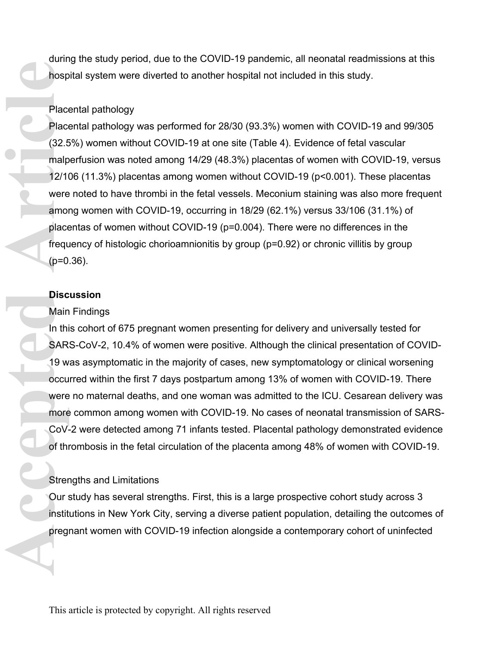during the study period, due to the COVID-19 pandemic, all neonatal readmissions at this hospital system were diverted to another hospital not included in this study.

### Placental pathology

Placental pathology was performed for 28/30 (93.3%) women with COVID-19 and 99/305 (32.5%) women without COVID-19 at one site (Table 4). Evidence of fetal vascular malperfusion was noted among 14/29 (48.3%) placentas of women with COVID-19, versus 12/106 (11.3%) placentas among women without COVID-19 (p<0.001). These placentas were noted to have thrombi in the fetal vessels. Meconium staining was also more frequent among women with COVID-19, occurring in 18/29 (62.1%) versus 33/106 (31.1%) of placentas of women without COVID-19 (p=0.004). There were no differences in the frequency of histologic chorioamnionitis by group (p=0.92) or chronic villitis by group  $(p=0.36)$ . **Place**<br> **Place**<br> **Place**<br> **Place**<br> **Place**<br> **COV**<br> **Place**<br> **Place**<br> **Place**<br> **Place**<br> **Place**<br> **Place**<br> **Place**<br> **Place**<br> **Place**<br> **Place**<br> **Place**<br> **Place**<br> **Place**<br> **Place**<br> **Place**<br> **Place**<br> **Place**<br> **Place**<br> **Place**<br>

#### **Discussion**

#### Main Findings

In this cohort of 675 pregnant women presenting for delivery and universally tested for SARS-CoV-2, 10.4% of women were positive. Although the clinical presentation of COVID-19 was asymptomatic in the majority of cases, new symptomatology or clinical worsening occurred within the first 7 days postpartum among 13% of women with COVID-19. There were no maternal deaths, and one woman was admitted to the ICU. Cesarean delivery was more common among women with COVID-19. No cases of neonatal transmission of SARS-CoV-2 were detected among 71 infants tested. Placental pathology demonstrated evidence of thrombosis in the fetal circulation of the placenta among 48% of women with COVID-19.

## Strengths and Limitations

Our study has several strengths. First, this is a large prospective cohort study across 3 institutions in New York City, serving a diverse patient population, detailing the outcomes of pregnant women with COVID-19 infection alongside a contemporary cohort of uninfected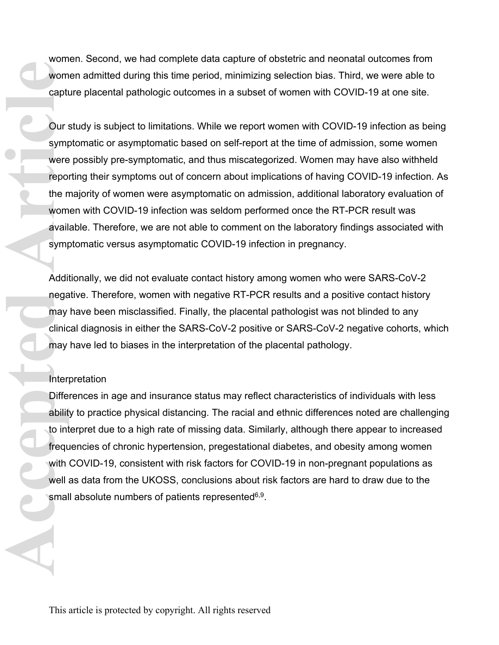women. Second, we had complete data capture of obstetric and neonatal outcomes from women admitted during this time period, minimizing selection bias. Third, we were able to capture placental pathologic outcomes in a subset of women with COVID-19 at one site.

Our study is subject to limitations. While we report women with COVID-19 infection as being symptomatic or asymptomatic based on self-report at the time of admission, some women were possibly pre-symptomatic, and thus miscategorized. Women may have also withheld reporting their symptoms out of concern about implications of having COVID-19 infection. As the majority of women were asymptomatic on admission, additional laboratory evaluation of women with COVID-19 infection was seldom performed once the RT-PCR result was available. Therefore, we are not able to comment on the laboratory findings associated with symptomatic versus asymptomatic COVID-19 infection in pregnancy. **Acception Consumption**<br> **Acception Consumption**<br> **Acception and Article**<br> **Acception and Symptic Additionary**<br> **Addit negation and Additionary**<br> **Acception Additionary**<br> **Acception Addit negation**<br> **Acception Addit negati** 

Additionally, we did not evaluate contact history among women who were SARS-CoV-2 negative. Therefore, women with negative RT-PCR results and a positive contact history may have been misclassified. Finally, the placental pathologist was not blinded to any clinical diagnosis in either the SARS-CoV-2 positive or SARS-CoV-2 negative cohorts, which may have led to biases in the interpretation of the placental pathology.

#### **Interpretation**

Differences in age and insurance status may reflect characteristics of individuals with less ability to practice physical distancing. The racial and ethnic differences noted are challenging to interpret due to a high rate of missing data. Similarly, although there appear to increased frequencies of chronic hypertension, pregestational diabetes, and obesity among women with COVID-19, consistent with risk factors for COVID-19 in non-pregnant populations as well as data from the UKOSS, conclusions about risk factors are hard to draw due to the small absolute numbers of patients represented<sup>6,9</sup>.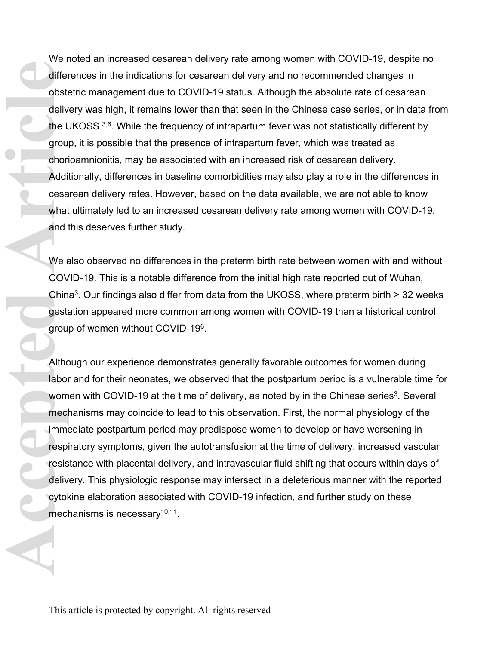We noted an increased cesarean delivery rate among women with COVID-19, despite no differences in the indications for cesarean delivery and no recommended changes in obstetric management due to COVID-19 status. Although the absolute rate of cesarean delivery was high, it remains lower than that seen in the Chinese case series, or in data from the UKOSS 3,6. While the frequency of intrapartum fever was not statistically different by group, it is possible that the presence of intrapartum fever, which was treated as chorioamnionitis, may be associated with an increased risk of cesarean delivery. Additionally, differences in baseline comorbidities may also play a role in the differences in cesarean delivery rates. However, based on the data available, we are not able to know what ultimately led to an increased cesarean delivery rate among women with COVID-19, and this deserves further study. differ<br>
obste<br>
deliv<br>
the L<br>
grou<br>
chori<br>
Addi<br>
cesa<br>
what<br>
and 1<br>
We a COV<br>
Chin<br>
gesta<br>
grou<br>
Althc<br>
labor<br>
wom<br>
mech<br>
imme<br>
respi<br>
respi<br>
respi<br>
respi<br>
respi<br>
respi<br>
respi<br>
respi<br>
respi<br>
respi<br>
respi<br>
respi<br>
respi<br>
resp

We also observed no differences in the preterm birth rate between women with and without COVID-19. This is a notable difference from the initial high rate reported out of Wuhan, China<sup>3</sup>. Our findings also differ from data from the UKOSS, where preterm birth  $>$  32 weeks gestation appeared more common among women with COVID-19 than a historical control group of women without COVID-19<sup>6</sup> .

Although our experience demonstrates generally favorable outcomes for women during labor and for their neonates, we observed that the postpartum period is a vulnerable time for women with COVID-19 at the time of delivery, as noted by in the Chinese series<sup>3</sup>. Several mechanisms may coincide to lead to this observation. First, the normal physiology of the immediate postpartum period may predispose women to develop or have worsening in respiratory symptoms, given the autotransfusion at the time of delivery, increased vascular resistance with placental delivery, and intravascular fluid shifting that occurs within days of delivery. This physiologic response may intersect in a deleterious manner with the reported cytokine elaboration associated with COVID-19 infection, and further study on these mechanisms is necessary<sup>10,11</sup>.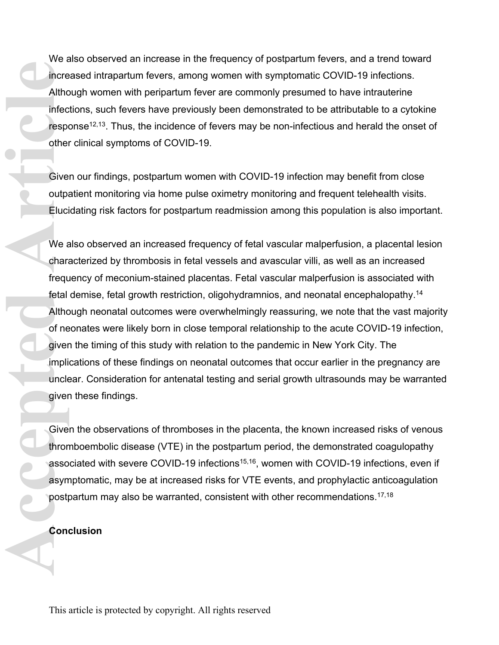We also observed an increase in the frequency of postpartum fevers, and a trend toward increased intrapartum fevers, among women with symptomatic COVID-19 infections. Although women with peripartum fever are commonly presumed to have intrauterine infections, such fevers have previously been demonstrated to be attributable to a cytokine response<sup>12,13</sup>. Thus, the incidence of fevers may be non-infectious and herald the onset of other clinical symptoms of COVID-19.

Given our findings, postpartum women with COVID-19 infection may benefit from close outpatient monitoring via home pulse oximetry monitoring and frequent telehealth visits. Elucidating risk factors for postpartum readmission among this population is also important.

We also observed an increased frequency of fetal vascular malperfusion, a placental lesion characterized by thrombosis in fetal vessels and avascular villi, as well as an increased frequency of meconium-stained placentas. Fetal vascular malperfusion is associated with fetal demise, fetal growth restriction, oligohydramnios, and neonatal encephalopathy.<sup>14</sup> Although neonatal outcomes were overwhelmingly reassuring, we note that the vast majority of neonates were likely born in close temporal relationship to the acute COVID-19 infection, given the timing of this study with relation to the pandemic in New York City. The implications of these findings on neonatal outcomes that occur earlier in the pregnancy are unclear. Consideration for antenatal testing and serial growth ultrasounds may be warranted given these findings. Free Altho<br>
Incre<br>
Altho<br>
Infect<br>
other<br>
Give<br>
Other<br>
Eluci<br>
We a chara<br>
frequ<br>
free fetal<br>
Altho<br>
of ne giver<br>
impli<br>
uncle<br>
giver<br>
Give<br>
free impli<br>
uncle<br>
giver<br>
Give<br>
free Single Single<br>
Single Single<br>
Single Single<br>
G

Given the observations of thromboses in the placenta, the known increased risks of venous thromboembolic disease (VTE) in the postpartum period, the demonstrated coagulopathy associated with severe COVID-19 infections<sup>15,16</sup>, women with COVID-19 infections, even if asymptomatic, may be at increased risks for VTE events, and prophylactic anticoagulation postpartum may also be warranted, consistent with other recommendations.17,18

#### **Conclusion**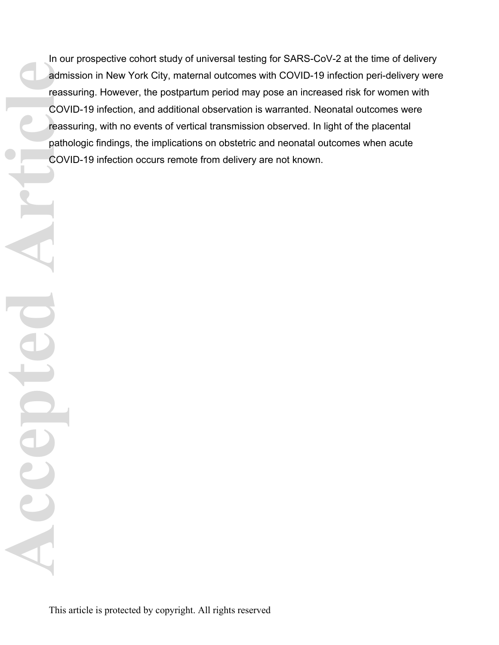In our prospective cohort study of universal testing for SARS-CoV-2 at the time of delivery admission in New York City, maternal outcomes with COVID-19 infection peri-delivery were reassuring. However, the postpartum period may pose an increased risk for women with COVID-19 infection, and additional observation is warranted. Neonatal outcomes were reassuring, with no events of vertical transmission observed. In light of the placental pathologic findings, the implications on obstetric and neonatal outcomes when acute COVID-19 infection occurs remote from delivery are not known. **Accepted Article**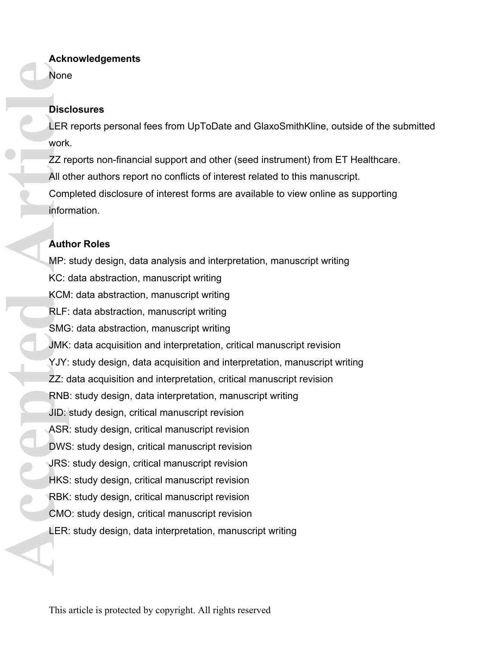## **Acknowledgements**

None

## **Disclosures**

LER reports personal fees from UpToDate and GlaxoSmithKline, outside of the submitted work.

ZZ reports non-financial support and other (seed instrument) from ET Healthcare. All other authors report no conflicts of interest related to this manuscript. Completed disclosure of interest forms are available to view online as supporting information.

## **Author Roles**

MP: study design, data analysis and interpretation, manuscript writing KC: data abstraction, manuscript writing KCM: data abstraction, manuscript writing RLF: data abstraction, manuscript writing SMG: data abstraction, manuscript writing JMK: data acquisition and interpretation, critical manuscript revision YJY: study design, data acquisition and interpretation, manuscript writing ZZ: data acquisition and interpretation, critical manuscript revision RNB: study design, data interpretation, manuscript writing JID: study design, critical manuscript revision ASR: study design, critical manuscript revision DWS: study design, critical manuscript revision JRS: study design, critical manuscript revision HKS: study design, critical manuscript revision RBK: study design, critical manuscript revision CMO: study design, critical manuscript revision LER: study design, data interpretation, manuscript writing **Accepted Article**<br> **Accepted Article**<br> **Accepted Article**<br> **Accepted Article**<br> **Accepted Article**<br> **Accepted Article**<br> **Accepted Article**<br> **Accepted Article**<br> **Accepted Article**<br> **Accepted Article**<br> **Accepted Article**<br> **A**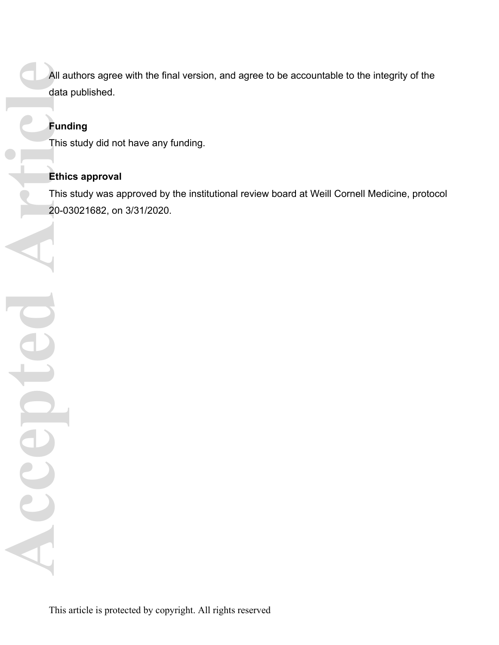All authors agree with the final version, and agree to be accountable to the integrity of the data published.

# **Funding**

This study did not have any funding.

# **Ethics approval**

This study was approved by the institutional review board at Weill Cornell Medicine, protocol 20-03021682, on 3/31/2020.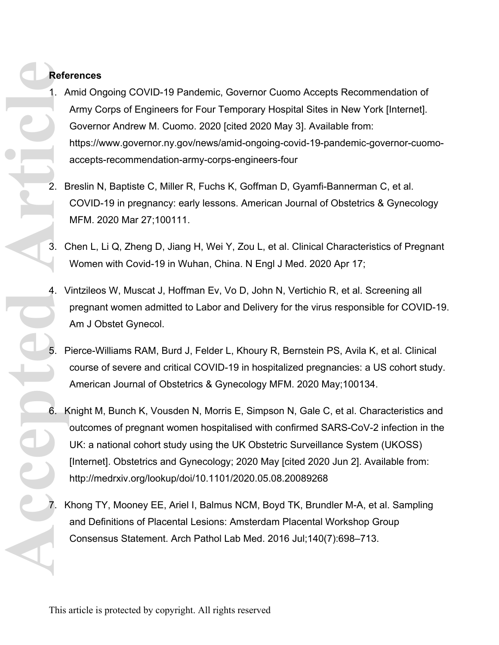## **References**

- 1. Amid Ongoing COVID-19 Pandemic, Governor Cuomo Accepts Recommendation of Army Corps of Engineers for Four Temporary Hospital Sites in New York [Internet]. Governor Andrew M. Cuomo. 2020 [cited 2020 May 3]. Available from: https://www.governor.ny.gov/news/amid-ongoing-covid-19-pandemic-governor-cuomoaccepts-recommendation-army-corps-engineers-four
- 2. Breslin N, Baptiste C, Miller R, Fuchs K, Goffman D, Gyamfi-Bannerman C, et al. COVID-19 in pregnancy: early lessons. American Journal of Obstetrics & Gynecology MFM. 2020 Mar 27;100111.
- 3. Chen L, Li Q, Zheng D, Jiang H, Wei Y, Zou L, et al. Clinical Characteristics of Pregnant Women with Covid-19 in Wuhan, China. N Engl J Med. 2020 Apr 17;
- 4. Vintzileos W, Muscat J, Hoffman Ev, Vo D, John N, Vertichio R, et al. Screening all pregnant women admitted to Labor and Delivery for the virus responsible for COVID-19. Am J Obstet Gynecol.
- 5. Pierce-Williams RAM, Burd J, Felder L, Khoury R, Bernstein PS, Avila K, et al. Clinical course of severe and critical COVID-19 in hospitalized pregnancies: a US cohort study. American Journal of Obstetrics & Gynecology MFM. 2020 May;100134.
- 6. Knight M, Bunch K, Vousden N, Morris E, Simpson N, Gale C, et al. Characteristics and outcomes of pregnant women hospitalised with confirmed SARS-CoV-2 infection in the UK: a national cohort study using the UK Obstetric Surveillance System (UKOSS) [Internet]. Obstetrics and Gynecology; 2020 May [cited 2020 Jun 2]. Available from: http://medrxiv.org/lookup/doi/10.1101/2020.05.08.20089268 **Accepted Article**
	- 7. Khong TY, Mooney EE, Ariel I, Balmus NCM, Boyd TK, Brundler M-A, et al. Sampling and Definitions of Placental Lesions: Amsterdam Placental Workshop Group Consensus Statement. Arch Pathol Lab Med. 2016 Jul;140(7):698–713.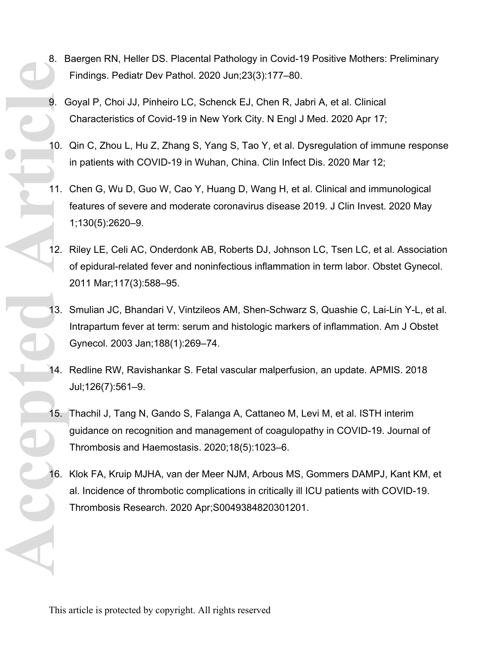- 8. Baergen RN, Heller DS. Placental Pathology in Covid-19 Positive Mothers: Preliminary Findings. Pediatr Dev Pathol. 2020 Jun;23(3):177–80.
- 9. Goyal P, Choi JJ, Pinheiro LC, Schenck EJ, Chen R, Jabri A, et al. Clinical Characteristics of Covid-19 in New York City. N Engl J Med. 2020 Apr 17;
- 10. Qin C, Zhou L, Hu Z, Zhang S, Yang S, Tao Y, et al. Dysregulation of immune response in patients with COVID-19 in Wuhan, China. Clin Infect Dis. 2020 Mar 12;
- 11. Chen G, Wu D, Guo W, Cao Y, Huang D, Wang H, et al. Clinical and immunological features of severe and moderate coronavirus disease 2019. J Clin Invest. 2020 May 1;130(5):2620–9.
- 12. Riley LE, Celi AC, Onderdonk AB, Roberts DJ, Johnson LC, Tsen LC, et al. Association of epidural-related fever and noninfectious inflammation in term labor. Obstet Gynecol. 2011 Mar;117(3):588–95.
- 13. Smulian JC, Bhandari V, Vintzileos AM, Shen-Schwarz S, Quashie C, Lai-Lin Y-L, et al. Intrapartum fever at term: serum and histologic markers of inflammation. Am J Obstet Gynecol. 2003 Jan;188(1):269–74. **Accepted** Article
	- 14. Redline RW, Ravishankar S. Fetal vascular malperfusion, an update. APMIS. 2018 Jul;126(7):561–9.
	- 15. Thachil J, Tang N, Gando S, Falanga A, Cattaneo M, Levi M, et al. ISTH interim guidance on recognition and management of coagulopathy in COVID-19. Journal of Thrombosis and Haemostasis. 2020;18(5):1023–6.
	- 16. Klok FA, Kruip MJHA, van der Meer NJM, Arbous MS, Gommers DAMPJ, Kant KM, et al. Incidence of thrombotic complications in critically ill ICU patients with COVID-19. Thrombosis Research. 2020 Apr;S0049384820301201.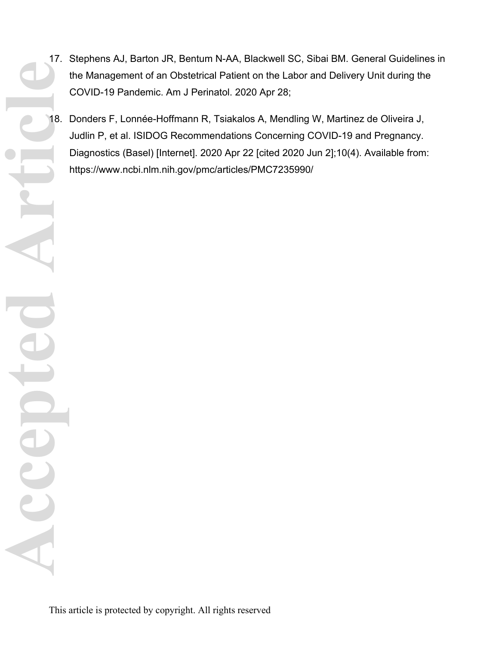- 17. Stephens AJ, Barton JR, Bentum N-AA, Blackwell SC, Sibai BM. General Guidelines in the Management of an Obstetrical Patient on the Labor and Delivery Unit during the COVID-19 Pandemic. Am J Perinatol. 2020 Apr 28;
- 18. Donders F, Lonnée-Hoffmann R, Tsiakalos A, Mendling W, Martinez de Oliveira J, Judlin P, et al. ISIDOG Recommendations Concerning COVID-19 and Pregnancy. Diagnostics (Basel) [Internet]. 2020 Apr 22 [cited 2020 Jun 2];10(4). Available from: https://www.ncbi.nlm.nih.gov/pmc/articles/PMC7235990/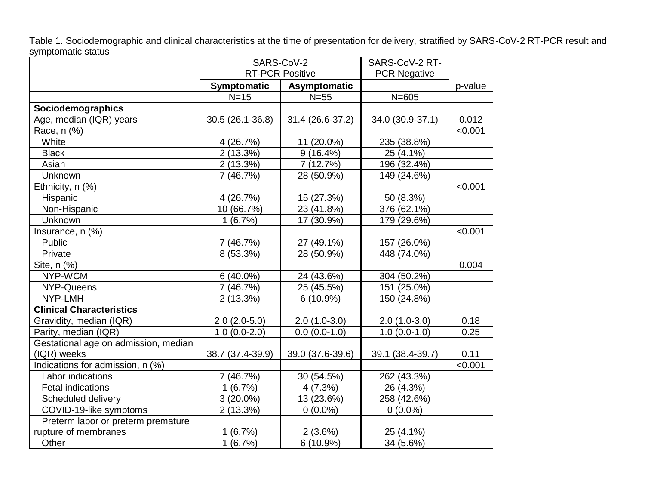Table 1. Sociodemographic and clinical characteristics at the time of presentation for delivery, stratified by SARS-CoV-2 RT-PCR result and symptomatic status

|                                      | SARS-CoV-2             |                  | SARS-CoV-2 RT-      |         |
|--------------------------------------|------------------------|------------------|---------------------|---------|
|                                      | <b>RT-PCR Positive</b> |                  | <b>PCR Negative</b> |         |
|                                      | <b>Symptomatic</b>     | Asymptomatic     |                     | p-value |
|                                      | $N=15$                 | $N=55$           | $N = 605$           |         |
| Sociodemographics                    |                        |                  |                     |         |
| Age, median (IQR) years              | 30.5 (26.1-36.8)       | 31.4 (26.6-37.2) | 34.0 (30.9-37.1)    | 0.012   |
| Race, n (%)                          |                        |                  |                     | < 0.001 |
| White                                | 4 (26.7%)              | 11 (20.0%)       | 235 (38.8%)         |         |
| <b>Black</b>                         | 2 (13.3%)              | $9(16.4\%)$      | 25 (4.1%)           |         |
| Asian                                | 2(13.3%)               | 7 (12.7%)        | 196 (32.4%)         |         |
| Unknown                              | 7(46.7%)               | 28 (50.9%)       | 149 (24.6%)         |         |
| Ethnicity, n (%)                     |                        |                  |                     | < 0.001 |
| Hispanic                             | 4 (26.7%)              | 15 (27.3%)       | 50 (8.3%)           |         |
| Non-Hispanic                         | 10 (66.7%)             | 23 (41.8%)       | 376 (62.1%)         |         |
| Unknown                              | 1(6.7%)                | 17 (30.9%)       | 179 (29.6%)         |         |
| Insurance, n (%)                     |                        |                  |                     | < 0.001 |
| Public                               | 7(46.7%)               | 27 (49.1%)       | 157 (26.0%)         |         |
| Private                              | 8 (53.3%)              | 28 (50.9%)       | 448 (74.0%)         |         |
| Site, n (%)                          |                        |                  |                     | 0.004   |
| NYP-WCM                              | $6(40.0\%)$            | 24 (43.6%)       | 304 (50.2%)         |         |
| NYP-Queens                           | 7(46.7%)               | 25 (45.5%)       | 151 (25.0%)         |         |
| NYP-LMH                              | 2(13.3%)               | $6(10.9\%)$      | 150 (24.8%)         |         |
| <b>Clinical Characteristics</b>      |                        |                  |                     |         |
| Gravidity, median (IQR)              | $2.0(2.0-5.0)$         | $2.0(1.0-3.0)$   | $2.0(1.0-3.0)$      | 0.18    |
| Parity, median (IQR)                 | $1.0(0.0-2.0)$         | $0.0(0.0-1.0)$   | $1.0(0.0-1.0)$      | 0.25    |
| Gestational age on admission, median |                        |                  |                     |         |
| (IQR) weeks                          | 38.7 (37.4-39.9)       | 39.0 (37.6-39.6) | 39.1 (38.4-39.7)    | 0.11    |
| Indications for admission, n (%)     |                        |                  |                     | < 0.001 |
| Labor indications                    | 7 (46.7%)              | 30 (54.5%)       | 262 (43.3%)         |         |
| <b>Fetal indications</b>             | 1(6.7%)                | 4(7.3%)          | 26 (4.3%)           |         |
| Scheduled delivery                   | $3(20.0\%)$            | 13 (23.6%)       | 258 (42.6%)         |         |
| COVID-19-like symptoms               | 2(13.3%)               | $0(0.0\%)$       | $0(0.0\%)$          |         |
| Preterm labor or preterm premature   |                        |                  |                     |         |
| rupture of membranes                 | 1(6.7%)                | 2(3.6%)          | 25 (4.1%)           |         |
| Other                                | 1(6.7%)                | $6(10.9\%)$      | 34 (5.6%)           |         |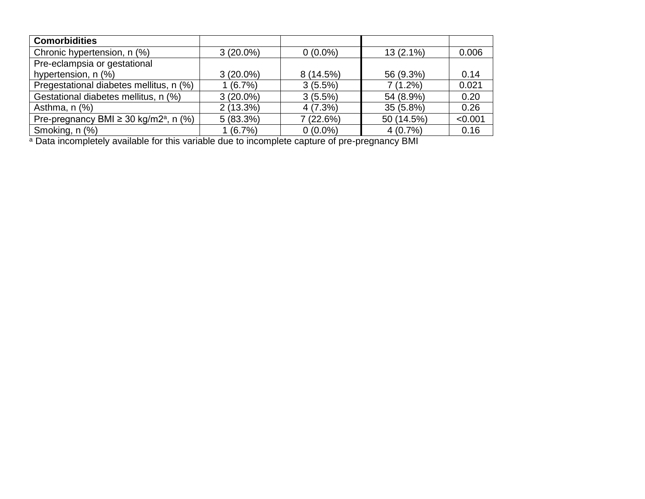| <b>Comorbidities</b>                                   |             |            |             |         |
|--------------------------------------------------------|-------------|------------|-------------|---------|
| Chronic hypertension, n (%)                            | $3(20.0\%)$ | $0(0.0\%)$ | $13(2.1\%)$ | 0.006   |
| Pre-eclampsia or gestational                           |             |            |             |         |
| hypertension, n (%)                                    | $3(20.0\%)$ | 8 (14.5%)  | 56 (9.3%)   | 0.14    |
| Pregestational diabetes mellitus, n (%)                | 1(6.7%)     | 3(5.5%)    | $7(1.2\%)$  | 0.021   |
| Gestational diabetes mellitus, n (%)                   | $3(20.0\%)$ | $3(5.5\%)$ | 54 (8.9%)   | 0.20    |
| Asthma, $n$ $%$                                        | $2(13.3\%)$ | 4(7.3%)    | $35(5.8\%)$ | 0.26    |
| Pre-pregnancy BMI $\geq$ 30 kg/m2 <sup>a</sup> , n (%) | 5(83.3%)    | 7(22.6%)   | 50 (14.5%)  | < 0.001 |
| Smoking, n (%)                                         | 1(6.7%)     | $0(0.0\%)$ | 4(0.7%)     | 0.16    |

<sup>a</sup> Data incompletely available for this variable due to incomplete capture of pre-pregnancy BMI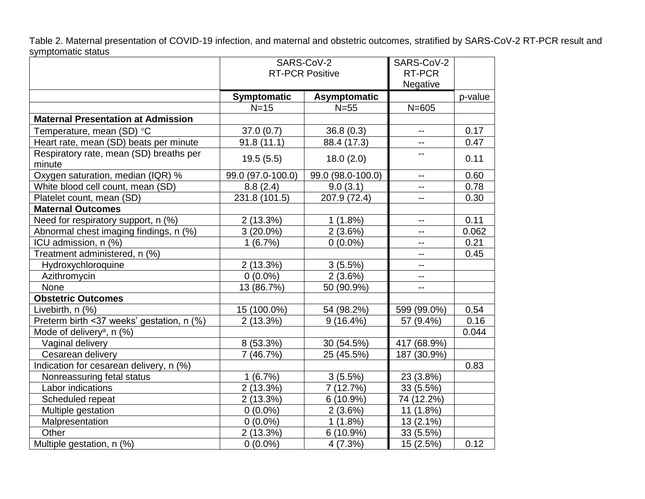Table 2. Maternal presentation of COVID-19 infection, and maternal and obstetric outcomes, stratified by SARS-CoV-2 RT-PCR result and symptomatic status

|                                                   | SARS-CoV-2             |                   | SARS-CoV-2               |         |
|---------------------------------------------------|------------------------|-------------------|--------------------------|---------|
|                                                   | <b>RT-PCR Positive</b> |                   | RT-PCR                   |         |
|                                                   |                        |                   | Negative                 |         |
|                                                   | Symptomatic            | Asymptomatic      |                          | p-value |
|                                                   | $N=15$                 | $N=55$            | $\overline{N}$ =605      |         |
| <b>Maternal Presentation at Admission</b>         |                        |                   |                          |         |
| Temperature, mean (SD) °C                         | 37.0(0.7)              | 36.8(0.3)         | $\overline{a}$           | 0.17    |
| Heart rate, mean (SD) beats per minute            | 91.8(11.1)             | 88.4 (17.3)       | $\overline{\phantom{a}}$ | 0.47    |
| Respiratory rate, mean (SD) breaths per<br>minute | 19.5(5.5)              | 18.0(2.0)         | $\overline{a}$           | 0.11    |
| Oxygen saturation, median (IQR) %                 | 99.0 (97.0-100.0)      | 99.0 (98.0-100.0) | $\sim$ $\sim$            | 0.60    |
| White blood cell count, mean (SD)                 | 8.8(2.4)               | 9.0(3.1)          | н.                       | 0.78    |
| Platelet count, mean (SD)                         | 231.8 (101.5)          | 207.9 (72.4)      | $\sim$                   | 0.30    |
| <b>Maternal Outcomes</b>                          |                        |                   |                          |         |
| Need for respiratory support, n (%)               | 2(13.3%)               | 1(1.8%)           | $\sim$ $\sim$            | 0.11    |
| Abnormal chest imaging findings, n (%)            | $3(20.0\%)$            | $2(3.6\%)$        | $\overline{\phantom{a}}$ | 0.062   |
| ICU admission, n (%)                              | 1(6.7%)                | $0(0.0\%)$        | $\overline{\phantom{a}}$ | 0.21    |
| Treatment administered, n (%)                     |                        |                   | ۰.                       | 0.45    |
| Hydroxychloroquine                                | 2(13.3%)               | $3(5.5\%)$        | $-1$                     |         |
| Azithromycin                                      | $0(0.0\%)$             | 2(3.6%)           | $\overline{\phantom{m}}$ |         |
| None                                              | 13 (86.7%)             | 50 (90.9%)        | $\ddotsc$                |         |
| <b>Obstetric Outcomes</b>                         |                        |                   |                          |         |
| Livebirth, n (%)                                  | 15 (100.0%)            | 54 (98.2%)        | 599 (99.0%)              | 0.54    |
| Preterm birth <37 weeks' gestation, n (%)         | 2(13.3%)               | $9(16.4\%)$       | 57 (9.4%)                | 0.16    |
| Mode of delivery <sup>a</sup> , n (%)             |                        |                   |                          | 0.044   |
| Vaginal delivery                                  | 8 (53.3%)              | 30 (54.5%)        | 417 (68.9%)              |         |
| Cesarean delivery                                 | 7(46.7%)               | 25 (45.5%)        | 187 (30.9%)              |         |
| Indication for cesarean delivery, n (%)           |                        |                   |                          | 0.83    |
| Nonreassuring fetal status                        | 1(6.7%)                | 3(5.5%)           | 23 (3.8%)                |         |
| Labor indications                                 | 2(13.3%)               | 7 (12.7%)         | 33 (5.5%)                |         |
| Scheduled repeat                                  | 2(13.3%)               | 6 (10.9%)         | 74 (12.2%)               |         |
| Multiple gestation                                | $0(0.0\%)$             | 2(3.6%)           | 11 (1.8%)                |         |
| Malpresentation                                   | $0(0.0\%)$             | 1(1.8%)           | 13 (2.1%)                |         |
| Other                                             | 2(13.3%)               | 6(10.9%)          | 33 (5.5%)                |         |
| Multiple gestation, n (%)                         | $0(0.0\%)$             | 4(7.3%)           | 15 (2.5%)                | 0.12    |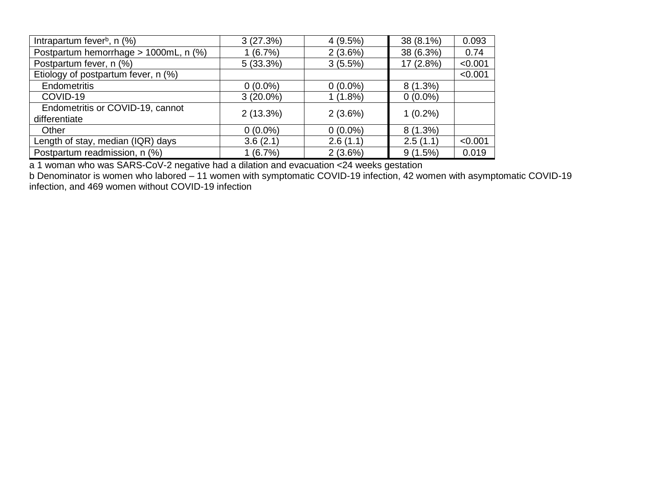| Intrapartum fever <sup>b</sup> , $n$ (%) | 3(27.3%)    | 4(9.5%)    | 38 (8.1%)  | 0.093   |
|------------------------------------------|-------------|------------|------------|---------|
| Postpartum hemorrhage > 1000mL, n (%)    | 1(6.7%)     | $2(3.6\%)$ | 38 (6.3%)  | 0.74    |
| Postpartum fever, n (%)                  | 5(33.3%)    | $3(5.5\%)$ | 17 (2.8%)  | < 0.001 |
| Etiology of postpartum fever, n (%)      |             |            |            | < 0.001 |
| <b>Endometritis</b>                      | $0(0.0\%)$  | $0(0.0\%)$ | $8(1.3\%)$ |         |
| COVID-19                                 | $3(20.0\%)$ | $1(1.8\%)$ | $0(0.0\%)$ |         |
| Endometritis or COVID-19, cannot         | $2(13.3\%)$ | $2(3.6\%)$ | $1(0.2\%)$ |         |
| differentiate                            |             |            |            |         |
| Other                                    | $0(0.0\%)$  | $0(0.0\%)$ | $8(1.3\%)$ |         |
| Length of stay, median (IQR) days        | 3.6(2.1)    | 2.6(1.1)   | 2.5(1.1)   | < 0.001 |
| Postpartum readmission, n (%)            | 1(6.7%)     | 2(3.6%)    | 9(1.5%)    | 0.019   |

a 1 woman who was SARS-CoV-2 negative had a dilation and evacuation <24 weeks gestation

b Denominator is women who labored – 11 women with symptomatic COVID-19 infection, 42 women with asymptomatic COVID-19 infection, and 469 women without COVID-19 infection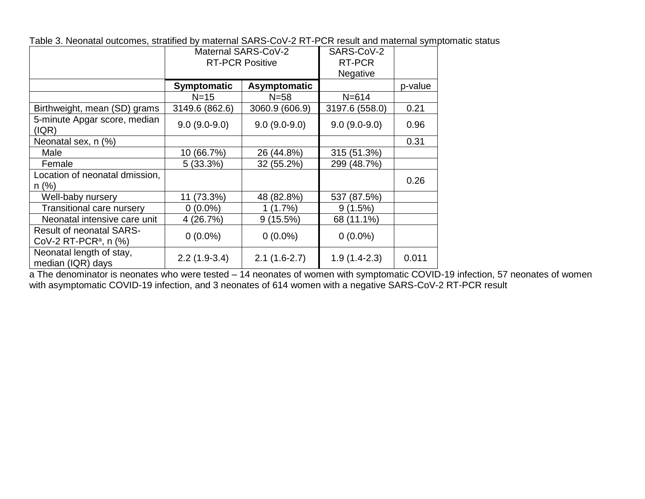|  | Table 3. Neonatal outcomes, stratified by maternal SARS-CoV-2 RT-PCR result and maternal symptomatic status |
|--|-------------------------------------------------------------------------------------------------------------|
|--|-------------------------------------------------------------------------------------------------------------|

|                                                                         | Maternal SARS-CoV-2    |                | SARS-CoV-2     |         |
|-------------------------------------------------------------------------|------------------------|----------------|----------------|---------|
|                                                                         | <b>RT-PCR Positive</b> |                | RT-PCR         |         |
|                                                                         |                        |                | Negative       |         |
|                                                                         | <b>Symptomatic</b>     | Asymptomatic   |                | p-value |
|                                                                         | $N=15$                 | $N = 58$       | $N = 614$      |         |
| Birthweight, mean (SD) grams                                            | 3149.6 (862.6)         | 3060.9 (606.9) | 3197.6 (558.0) | 0.21    |
| 5-minute Apgar score, median<br>(IQR)                                   | $9.0(9.0-9.0)$         | $9.0(9.0-9.0)$ | $9.0(9.0-9.0)$ | 0.96    |
| Neonatal sex, n (%)                                                     |                        |                |                | 0.31    |
| Male                                                                    | 10 (66.7%)             | 26 (44.8%)     | 315 (51.3%)    |         |
| Female                                                                  | $5(33.3\%)$            | 32 (55.2%)     | 299 (48.7%)    |         |
| Location of neonatal dmission,                                          |                        |                |                | 0.26    |
| $n$ (%)                                                                 |                        |                |                |         |
| Well-baby nursery                                                       | 11 (73.3%)             | 48 (82.8%)     | 537 (87.5%)    |         |
| Transitional care nursery                                               | $0(0.0\%)$             | 1(1.7%)        | 9(1.5%)        |         |
| Neonatal intensive care unit                                            | 4(26.7%)               | $9(15.5\%)$    | 68 (11.1%)     |         |
| <b>Result of neonatal SARS-</b><br>CoV-2 RT-PCR <sup>a</sup> , n $(\%)$ | $0(0.0\%)$             | $0(0.0\%)$     | $0(0.0\%)$     |         |
| Neonatal length of stay,<br>median (IQR) days                           | $2.2(1.9-3.4)$         | $2.1(1.6-2.7)$ | $1.9(1.4-2.3)$ | 0.011   |

a The denominator is neonates who were tested – 14 neonates of women with symptomatic COVID-19 infection, 57 neonates of women with asymptomatic COVID-19 infection, and 3 neonates of 614 women with a negative SARS-CoV-2 RT-PCR result